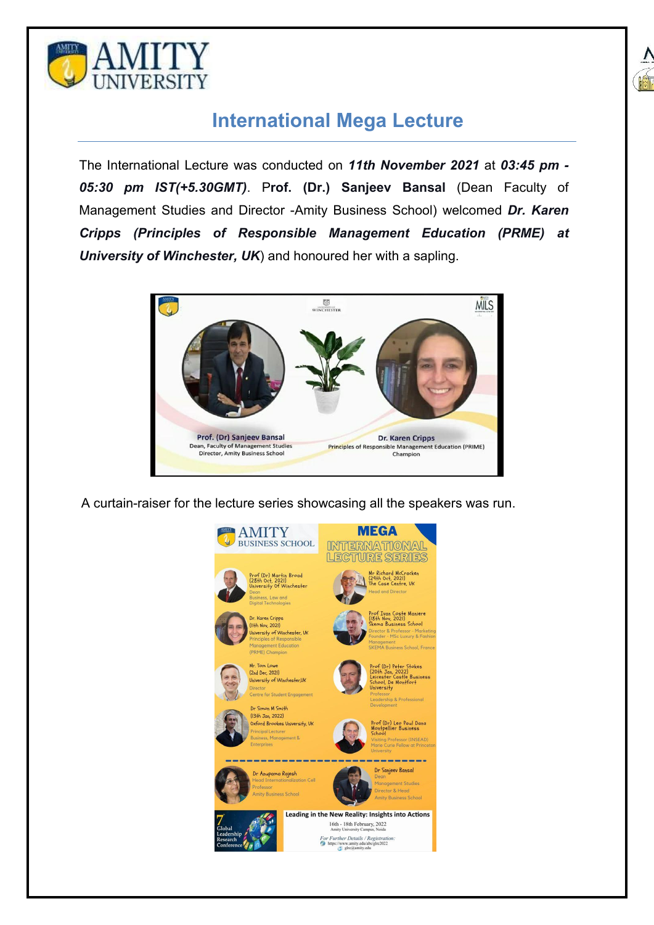



## **International Mega Lecture**

The International Lecture was conducted on *11th November 2021* at *03:45 pm - 05:30 pm IST(+5.30GMT)*. P**rof. (Dr.) Sanjeev Bansal** (Dean Faculty of Management Studies and Director -Amity Business School) welcomed *Dr. Karen Cripps (Principles of Responsible Management Education (PRME) at University of Winchester, UK*) and honoured her with a sapling.



A curtain-raiser for the lecture series showcasing all the speakers was run.

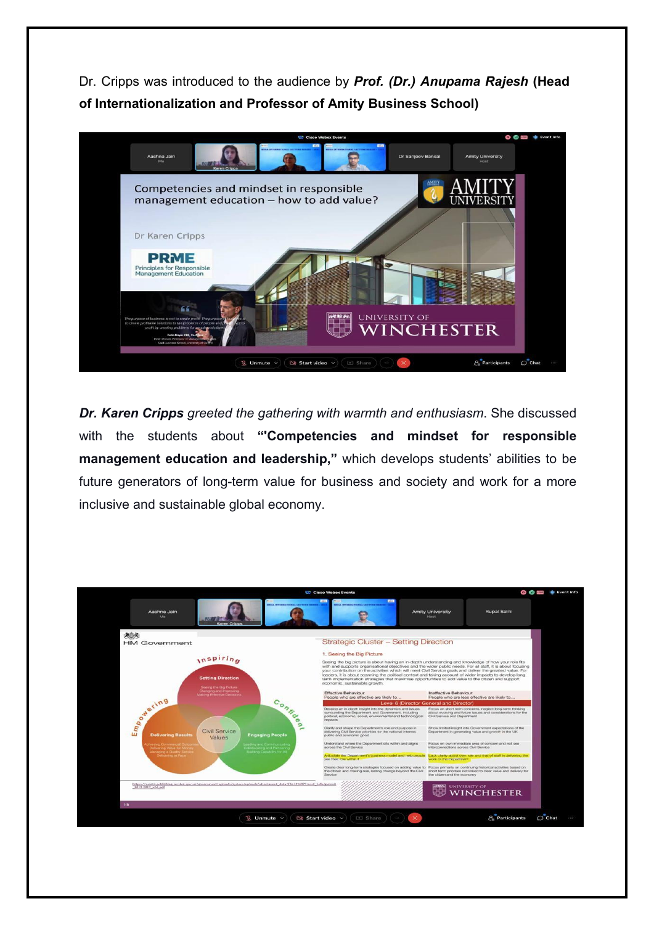Dr. Cripps was introduced to the audience by *Prof. (Dr.) Anupama Rajesh* **(Head of Internationalization and Professor of Amity Business School)**



*Dr. Karen Cripps greeted the gathering with warmth and enthusiasm*. She discussed with the students about **"'Competencies and mindset for responsible management education and leadership,"** which develops students' abilities to be future generators of long-term value for business and society and work for a more inclusive and sustainable global economy.

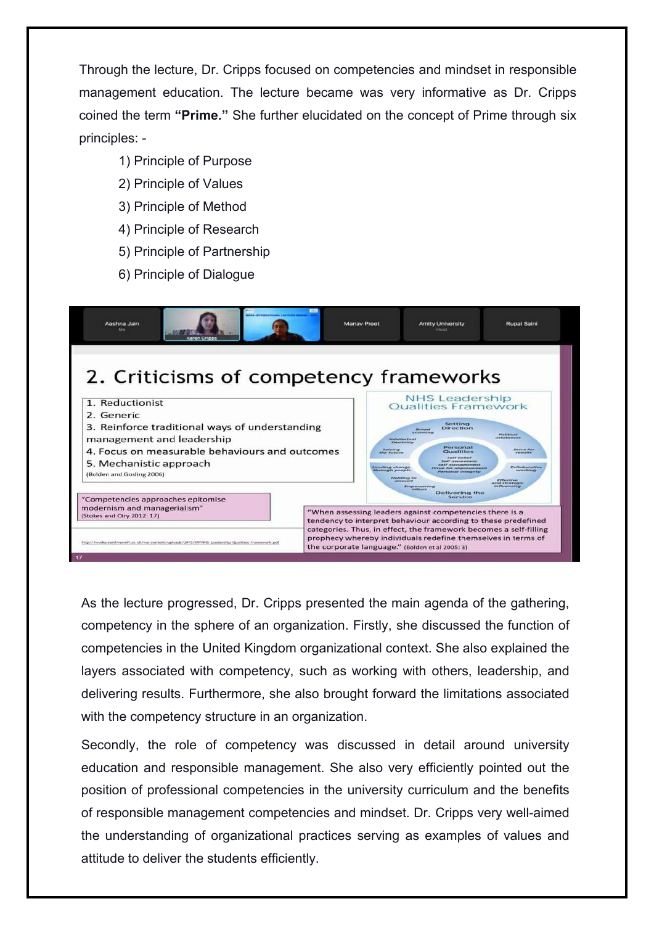Through the lecture, Dr. Cripps focused on competencies and mindset in responsible management education. The lecture became was very informative as Dr. Cripps coined the term **"Prime."** She further elucidated on the concept of Prime through six principles: -

- 1) Principle of Purpose
- 2) Principle of Values
- 3) Principle of Method
- 4) Principle of Research
- 5) Principle of Partnership
- 6) Principle of Dialogue



As the lecture progressed, Dr. Cripps presented the main agenda of the gathering, competency in the sphere of an organization. Firstly, she discussed the function of competencies in the United Kingdom organizational context. She also explained the layers associated with competency, such as working with others, leadership, and delivering results. Furthermore, she also brought forward the limitations associated with the competency structure in an organization.

Secondly, the role of competency was discussed in detail around university education and responsible management. She also very efficiently pointed out the position of professional competencies in the university curriculum and the benefits of responsible management competencies and mindset. Dr. Cripps very well-aimed the understanding of organizational practices serving as examples of values and attitude to deliver the students efficiently.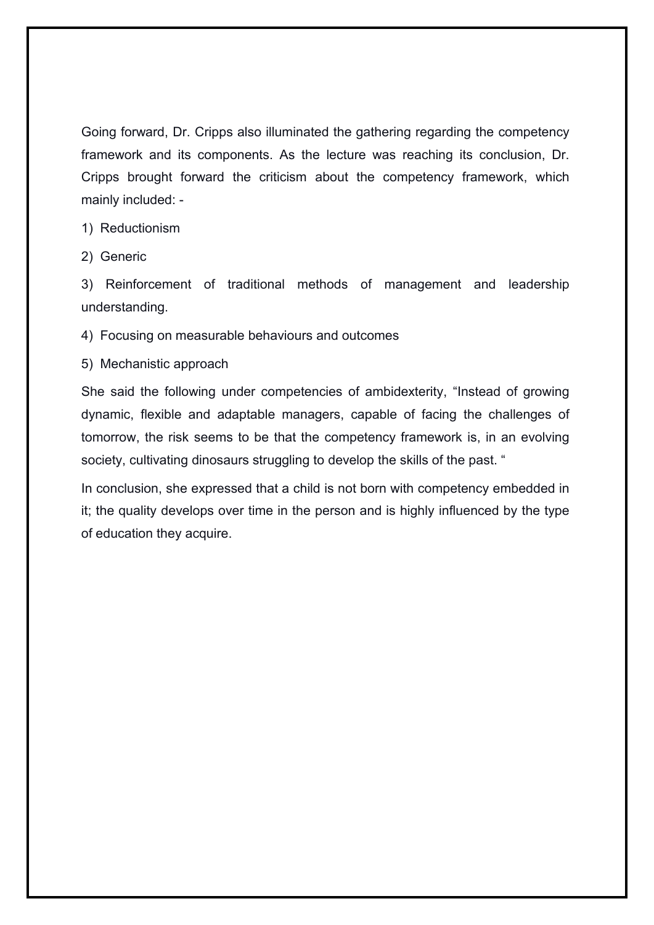Going forward, Dr. Cripps also illuminated the gathering regarding the competency framework and its components. As the lecture was reaching its conclusion, Dr. Cripps brought forward the criticism about the competency framework, which mainly included: -

1) Reductionism

2) Generic

3) Reinforcement of traditional methods of management and leadership understanding.

4) Focusing on measurable behaviours and outcomes

5) Mechanistic approach

She said the following under competencies of ambidexterity, "Instead of growing dynamic, flexible and adaptable managers, capable of facing the challenges of tomorrow, the risk seems to be that the competency framework is, in an evolving society, cultivating dinosaurs struggling to develop the skills of the past. "

In conclusion, she expressed that a child is not born with competency embedded in it; the quality develops over time in the person and is highly influenced by the type of education they acquire.